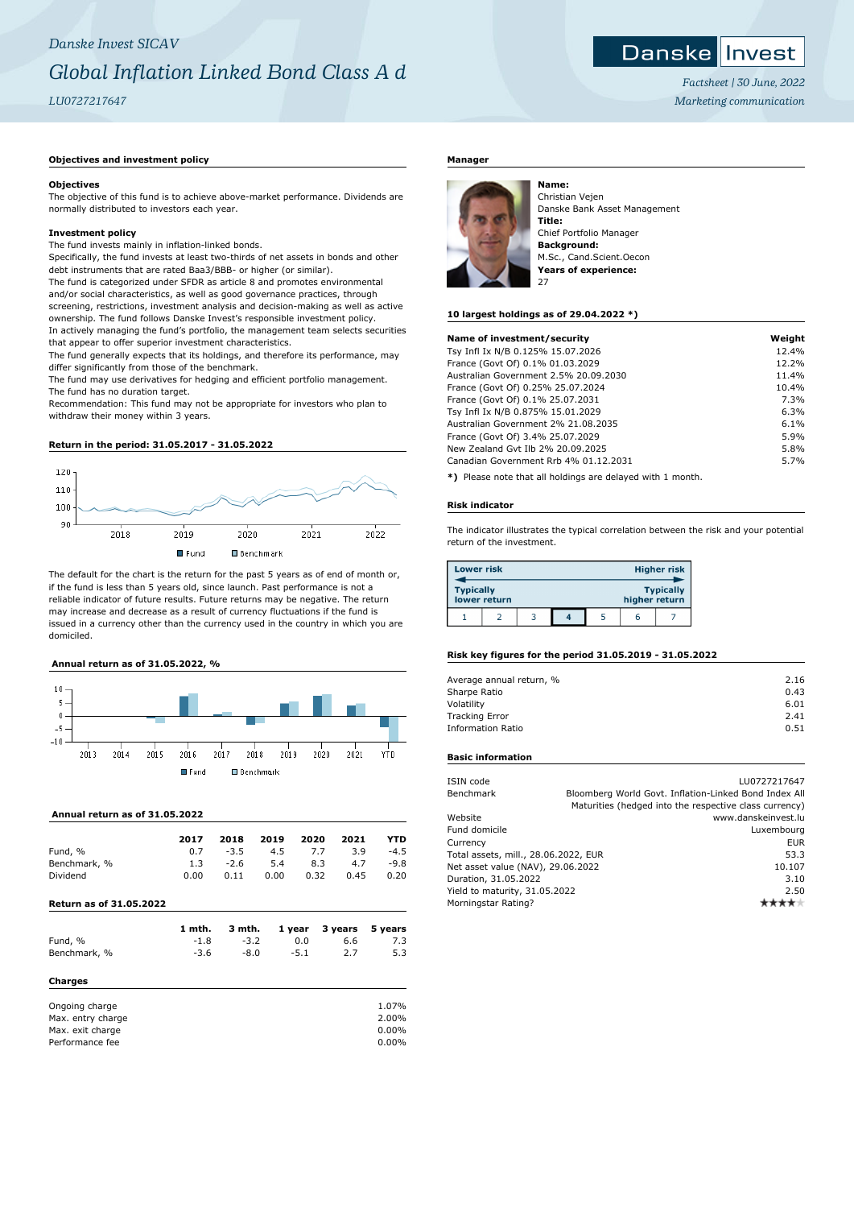#### Danske **I** Invest

*Factsheet | 30 June, 2022 Marketing communication*

## **Objectives and investment policy**

#### **Objectives**

The objective of this fund is to achieve above-market performance. Dividends are normally distributed to investors each year.

#### **Investment policy**

The fund invests mainly in inflation-linked bonds.

Specifically, the fund invests at least two-thirds of net assets in bonds and other debt instruments that are rated Baa3/BBB- or higher (or similar).

The fund is categorized under SFDR as article 8 and promotes environmental and/or social characteristics, as well as good governance practices, through screening, restrictions, investment analysis and decision-making as well as active ownership. The fund follows Danske Invest's responsible investment policy. In actively managing the fund's portfolio, the management team selects securities that appear to offer superior investment characteristics.

The fund generally expects that its holdings, and therefore its performance, may differ significantly from those of the benchmark.

The fund may use derivatives for hedging and efficient portfolio management. The fund has no duration target.

Recommendation: This fund may not be appropriate for investors who plan to withdraw their money within 3 years.

# **Return in the period: 31.05.2017 - 31.05.2022**



The default for the chart is the return for the past 5 years as of end of month or, if the fund is less than 5 years old, since launch. Past performance is not a reliable indicator of future results. Future returns may be negative. The return may increase and decrease as a result of currency fluctuations if the fund is issued in a currency other than the currency used in the country in which you are domiciled.

# **Annual return as of 31.05.2022, %**



## **Annual return as of 31.05.2022**

|              | 2017 | 2018   | 2019 | 2020 | 2021 | YTD    |
|--------------|------|--------|------|------|------|--------|
| Fund, %      | 0.7  | $-3.5$ | 4.5  | 7.7  | 3.9  | $-4.5$ |
| Benchmark, % | 1.3  | $-2.6$ | 5.4  | 8.3  | 4.7  | -9.8   |
| Dividend     | 0.00 | 0.11   | 0.00 | 0.32 | 0.45 | 0.20   |

## **Return as of 31.05.2022**

|                   | 1 mth. | 3 mth. | 1 year | 3 years | 5 years |
|-------------------|--------|--------|--------|---------|---------|
| Fund, %           | $-1.8$ | $-3.2$ | 0.0    | 6.6     | 7.3     |
| Benchmark, %      | $-3.6$ | $-8.0$ | $-5.1$ | 2.7     | 5.3     |
| <b>Charges</b>    |        |        |        |         |         |
| Ongoing charge    |        |        |        |         | 1.07%   |
| Max. entry charge |        |        |        |         | 2.00%   |
| Max. exit charge  |        |        |        |         | 0.00%   |
| Performance fee   |        |        |        |         | 0.00%   |

## **Manager**



Christian Vejen Danske Bank Asset Management **Title:** Chief Portfolio Manager **Background:** M.Sc., Cand.Scient.Oecon **Years of experience:**

#### **10 largest holdings as of 29.04.2022 \*)**

| Name of investment/security           | Weight |
|---------------------------------------|--------|
| Tsy Infl Ix N/B 0.125% 15.07.2026     | 12.4%  |
| France (Govt Of) 0.1% 01.03.2029      | 12.2%  |
| Australian Government 2.5% 20.09.2030 | 11.4%  |
| France (Govt Of) 0.25% 25.07.2024     | 10.4%  |
| France (Govt Of) 0.1% 25.07.2031      | 7.3%   |
| Tsy Infl Ix N/B 0.875% 15.01.2029     | 6.3%   |
| Australian Government 2% 21.08.2035   | 6.1%   |
| France (Govt Of) 3.4% 25.07.2029      | 5.9%   |
| New Zealand Gyt Ilb 2% 20.09.2025     | 5.8%   |
| Canadian Government Rrb 4% 01.12.2031 | 5.7%   |
|                                       |        |

**\*)** Please note that all holdings are delayed with 1 month.

#### **Risk indicator**

The indicator illustrates the typical correlation between the risk and your potential return of the investment.

| <b>Lower risk</b> |              |  |               | <b>Higher risk</b> |
|-------------------|--------------|--|---------------|--------------------|
| <b>Typically</b>  | lower return |  | higher return | <b>Typically</b>   |
|                   |              |  |               |                    |

#### **Risk key figures for the period 31.05.2019 - 31.05.2022**

| 2.16 |
|------|
| 0.43 |
| 6.01 |
| 2.41 |
| 0.51 |
|      |

## **Basic information**

| ISIN code                            | LU0727217647                                           |
|--------------------------------------|--------------------------------------------------------|
| Benchmark                            | Bloomberg World Govt. Inflation-Linked Bond Index All  |
|                                      | Maturities (hedged into the respective class currency) |
| Website                              | www.danskeinvest.lu                                    |
| Fund domicile                        | Luxembourg                                             |
| Currency                             | <b>EUR</b>                                             |
| Total assets, mill., 28.06.2022, EUR | 53.3                                                   |
| Net asset value (NAV), 29.06.2022    | 10.107                                                 |
| Duration, 31.05.2022                 | 3.10                                                   |
| Yield to maturity, 31.05.2022        | 2.50                                                   |
| Morningstar Rating?                  |                                                        |